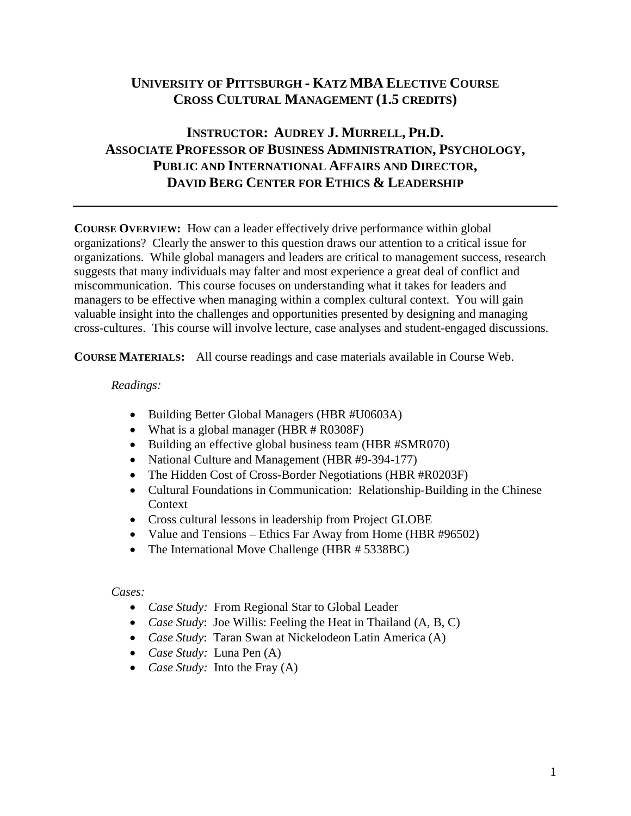# **UNIVERSITY OF PITTSBURGH - KATZ MBA ELECTIVE COURSE CROSS CULTURAL MANAGEMENT (1.5 CREDITS)**

# **INSTRUCTOR: AUDREY J. MURRELL, PH.D. ASSOCIATE PROFESSOR OF BUSINESS ADMINISTRATION, PSYCHOLOGY, PUBLIC AND INTERNATIONAL AFFAIRS AND DIRECTOR, DAVID BERG CENTER FOR ETHICS & LEADERSHIP**

**COURSE OVERVIEW:** How can a leader effectively drive performance within global organizations? Clearly the answer to this question draws our attention to a critical issue for organizations. While global managers and leaders are critical to management success, research suggests that many individuals may falter and most experience a great deal of conflict and miscommunication. This course focuses on understanding what it takes for leaders and managers to be effective when managing within a complex cultural context. You will gain valuable insight into the challenges and opportunities presented by designing and managing cross-cultures. This course will involve lecture, case analyses and student-engaged discussions.

**COURSE MATERIALS:** All course readings and case materials available in Course Web.

### *Readings:*

- Building Better Global Managers (HBR #U0603A)
- What is a global manager (HBR # R0308F)
- Building an effective global business team (HBR #SMR070)
- National Culture and Management (HBR #9-394-177)
- The Hidden Cost of Cross-Border Negotiations (HBR #R0203F)
- Cultural Foundations in Communication: Relationship-Building in the Chinese Context
- Cross cultural lessons in leadership from Project GLOBE
- Value and Tensions Ethics Far Away from Home (HBR #96502)
- The International Move Challenge (HBR # 5338BC)

### *Cases:*

- *Case Study:* From Regional Star to Global Leader
- *Case Study*: Joe Willis: Feeling the Heat in Thailand (A, B, C)
- *Case Study*: Taran Swan at Nickelodeon Latin America (A)
- *Case Study:* Luna Pen (A)
- *Case Study:* Into the Fray (A)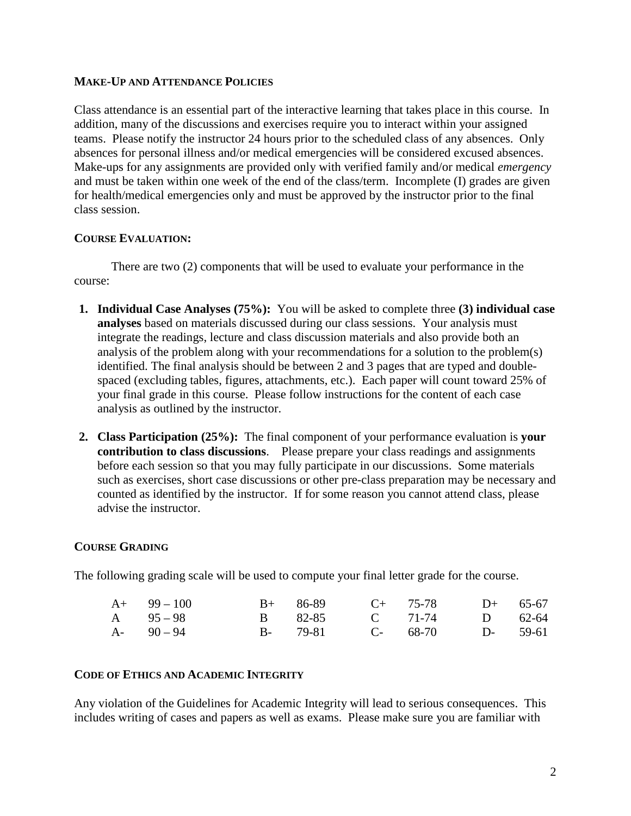### **MAKE-UP AND ATTENDANCE POLICIES**

Class attendance is an essential part of the interactive learning that takes place in this course. In addition, many of the discussions and exercises require you to interact within your assigned teams. Please notify the instructor 24 hours prior to the scheduled class of any absences. Only absences for personal illness and/or medical emergencies will be considered excused absences. Make-ups for any assignments are provided only with verified family and/or medical *emergency* and must be taken within one week of the end of the class/term. Incomplete (I) grades are given for health/medical emergencies only and must be approved by the instructor prior to the final class session.

### **COURSE EVALUATION:**

There are two (2) components that will be used to evaluate your performance in the course:

- **1. Individual Case Analyses (75%):**You will be asked to complete three **(3) individual case analyses** based on materials discussed during our class sessions. Your analysis must integrate the readings, lecture and class discussion materials and also provide both an analysis of the problem along with your recommendations for a solution to the problem(s) identified. The final analysis should be between 2 and 3 pages that are typed and doublespaced (excluding tables, figures, attachments, etc.). Each paper will count toward 25% of your final grade in this course. Please follow instructions for the content of each case analysis as outlined by the instructor.
- **2. Class Participation (25%):** The final component of your performance evaluation is **your contribution to class discussions**. Please prepare your class readings and assignments before each session so that you may fully participate in our discussions. Some materials such as exercises, short case discussions or other pre-class preparation may be necessary and counted as identified by the instructor. If for some reason you cannot attend class, please advise the instructor.

## **COURSE GRADING**

The following grading scale will be used to compute your final letter grade for the course.

| $A+$ 99 – 100 |  | $B+$ 86-89 $C+$ 75-78 $D+$ 65-67 |  |
|---------------|--|----------------------------------|--|
| A $95-98$     |  | B 82-85 C 71-74 D 62-64          |  |
| $A - 90 - 94$ |  | B- 79-81 C- 68-70 D- 59-61       |  |

### **CODE OF ETHICS AND ACADEMIC INTEGRITY**

Any violation of the Guidelines for Academic Integrity will lead to serious consequences. This includes writing of cases and papers as well as exams. Please make sure you are familiar with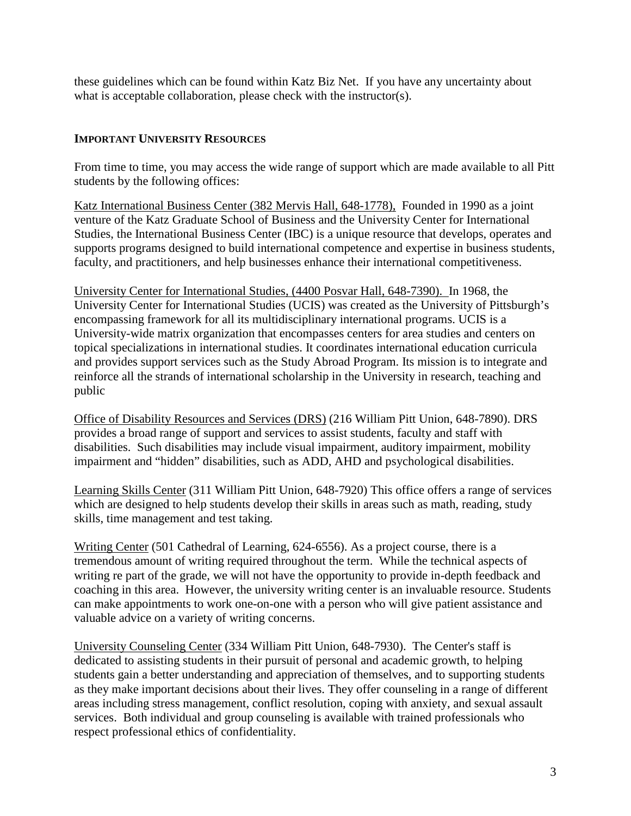these guidelines which can be found within Katz Biz Net. If you have any uncertainty about what is acceptable collaboration, please check with the instructor(s).

## **IMPORTANT UNIVERSITY RESOURCES**

From time to time, you may access the wide range of support which are made available to all Pitt students by the following offices:

Katz International Business Center (382 Mervis Hall, 648-1778), Founded in 1990 as a joint venture of the Katz Graduate School of Business and the University Center for International Studies, the International Business Center (IBC) is a unique resource that develops, operates and supports programs designed to build international competence and expertise in business students, faculty, and practitioners, and help businesses enhance their international competitiveness.

University Center for International Studies, (4400 Posvar Hall, 648-7390). In 1968, the University Center for International Studies (UCIS) was created as the University of Pittsburgh's encompassing framework for all its multidisciplinary international programs. UCIS is a University-wide matrix organization that encompasses centers for area studies and centers on topical specializations in international studies. It coordinates international education curricula and provides support services such as the Study Abroad Program. Its mission is to integrate and reinforce all the strands of international scholarship in the University in research, teaching and public

Office of Disability Resources and Services (DRS) (216 William Pitt Union, 648-7890). DRS provides a broad range of support and services to assist students, faculty and staff with disabilities. Such disabilities may include visual impairment, auditory impairment, mobility impairment and "hidden" disabilities, such as ADD, AHD and psychological disabilities.

Learning Skills Center (311 William Pitt Union, 648-7920) This office offers a range of services which are designed to help students develop their skills in areas such as math, reading, study skills, time management and test taking.

Writing Center (501 Cathedral of Learning, 624-6556). As a project course, there is a tremendous amount of writing required throughout the term. While the technical aspects of writing re part of the grade, we will not have the opportunity to provide in-depth feedback and coaching in this area. However, the university writing center is an invaluable resource. Students can make appointments to work one-on-one with a person who will give patient assistance and valuable advice on a variety of writing concerns.

University Counseling Center (334 William Pitt Union, 648-7930). The Center's staff is dedicated to assisting students in their pursuit of personal and academic growth, to helping students gain a better understanding and appreciation of themselves, and to supporting students as they make important decisions about their lives. They offer counseling in a range of different areas including stress management, conflict resolution, coping with anxiety, and sexual assault services. Both individual and group counseling is available with trained professionals who respect professional ethics of confidentiality.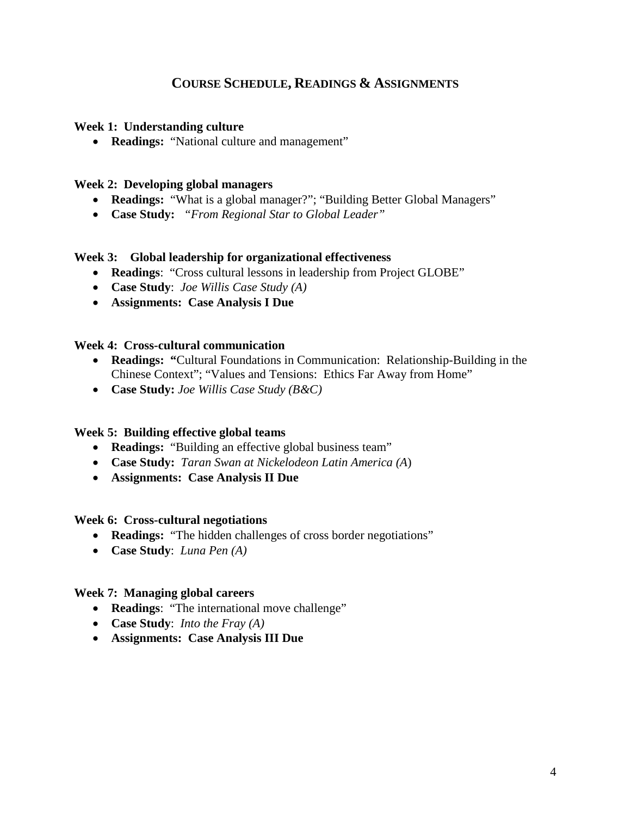## **COURSE SCHEDULE, READINGS & ASSIGNMENTS**

### **Week 1: Understanding culture**

• **Readings:** "National culture and management"

### **Week 2: Developing global managers**

- **Readings:** "What is a global manager?"; "Building Better Global Managers"
- **Case Study:** *"From Regional Star to Global Leader"*

### **Week 3: Global leadership for organizational effectiveness**

- **Readings**: "Cross cultural lessons in leadership from Project GLOBE"
- **Case Study**: *Joe Willis Case Study (A)*
- **Assignments: Case Analysis I Due**

### **Week 4: Cross-cultural communication**

- **Readings: "**Cultural Foundations in Communication: Relationship-Building in the Chinese Context"; "Values and Tensions: Ethics Far Away from Home"
- **Case Study:** *Joe Willis Case Study (B&C)*

### **Week 5: Building effective global teams**

- **Readings:** "Building an effective global business team"
- **Case Study:** *Taran Swan at Nickelodeon Latin America (A*)
- **Assignments: Case Analysis II Due**

#### **Week 6: Cross-cultural negotiations**

- **Readings:** "The hidden challenges of cross border negotiations"
- **Case Study**: *Luna Pen (A)*

### **Week 7: Managing global careers**

- **Readings**: "The international move challenge"
- **Case Study**: *Into the Fray (A)*
- **Assignments: Case Analysis III Due**